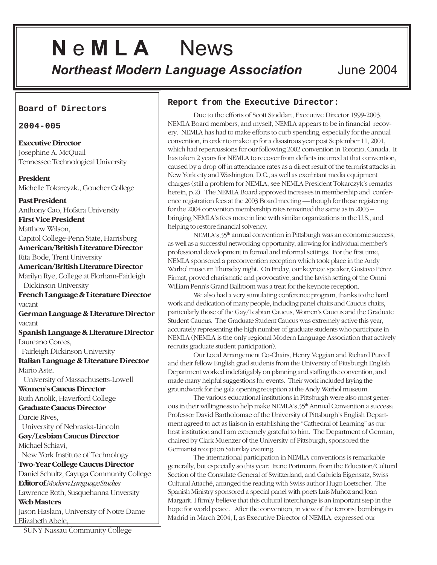# **N** e **M L A** News *Northeast Modern Language Association* June 2004

**Board of Directors**

### **2004-005**

**Executive Director** Josephine A. McQuail Tennessee Technological University

**President** Michelle Tokarcyzk., Goucher College

**Past President** Anthony Cao, Hofstra University **First Vice President**

Matthew Wilson, Capitol College-Penn State, Harrisburg **American/British Literature Director**

Rita Bode, Trent University **American/British Literature Director**

Marilyn Rye, College at Florham-Fairleigh Dickinson University

**French Language & Literature Director** vacant

**German Language & Literature Director** vacant

**Spanish Language & Literature Director** Laureano Corces,

Fairleigh Dickinson University

**Italian Language & Literature Director** Mario Aste,

University of Massachusetts-Lowell

**Women's Caucus Director** Ruth Anolik, Haverford College **Graduate Caucus Director**

Darcie Rives,

University of Nebraska-Lincoln

**Gay/Lesbian Caucus Director** Michael Schiavi,

New York Institute of Technology

**Two-Year College Caucus Director** Daniel Schultz, Cayuga Community College **Editor of***Modern Language Studies* Lawrence Roth, Susquehanna Unversity

**Web Masters**

Jason Haslam, University of Notre Dame Elizabeth Abele,

**Report from the Executive Director:**

Due to the efforts of Scott Stoddart, Executive Director 1999-2003, NEMLA Board members, and myself, NEMLA appears to be in financial recovery. NEMLA has had to make efforts to curb spending, especially for the annual convention, in order to make up for a disastrous year post September 11, 2001, which had repercussions for our following 2002 convention in Toronto, Canada. It has taken 2 years for NEMLA to recover from deficits incurred at that convention, caused by a drop off in attendance rates as a direct result of the terrorist attacks in New York city and Washington, D.C., as well as exorbitant media equipment charges (still a problem for NEMLA, see NEMLA President Tokarczyk's remarks herein, p.2). The NEMLA Board approved increases in membership and conference registration fees at the 2003 Board meeting — though for those registering for the 2004 convention membership rates remained the same as in 2003 – bringing NEMLA's fees more in line with similar organizations in the U.S., and helping to restore financial solvency.

NEMLA's 35<sup>th</sup> annual convention in Pittsburgh was an economic success, as well as a successful networking opportunity, allowing for individual member's professional development in formal and informal settings. For the first time, NEMLA sponsored a preconvention reception which took place in the Andy Warhol museum Thursday night. On Friday, our keynote speaker, Gustavo Pérez Firmat, proved charismatic and provocative, and the lavish setting of the Omni William Penn's Grand Ballroom was a treat for the keynote reception.

We also had a very stimulating conference program, thanks to the hard work and dedication of many people, including panel chairs and Caucus chairs, particularly those of the Gay/Lesbian Caucus, Women's Caucus and the Graduate Student Caucus. The Graduate Student Caucus was extremely active this year, accurately representing the high number of graduate students who participate in NEMLA (NEMLA is the only regional Modern Language Association that actively recruits graduate student participation).

Our Local Arrangement Co-Chairs, Henry Veggian and Richard Purcell and their fellow English grad students from the University of Pittsburgh English Department worked indefatigably on planning and staffing the convention, and made many helpful suggestions for events. Their work included laying the groundwork for the gala opening reception at the Andy Warhol museum.

The various educational institutions in Pittsburgh were also most generous in their willingness to help make NEMLA's 35<sup>th</sup> Annual Convention a success: Professor David Bartholomae of the University of Pittsburgh's English Department agreed to act as liaison in establishing the "Cathedral of Learning" as our host institution and I am extremely grateful to him. The Department of German, chaired by Clark Muenzer of the University of Pittsburgh, sponsored the Germanist reception Saturday evening.

The international participation in NEMLA conventions is remarkable generally, but especially so this year: Irene Portmann, from the Education/Cultural Section of the Consulate General of Switzerland, and Gabriela Eigensatz, Swiss Cultural Attaché, arranged the reading with Swiss author Hugo Loetscher. The Spanish Ministry sponsored a special panel with poets Luis Muñoz and Joan Margarit. I firmly believe that this cultural interchange is an important step in the hope for world peace. After the convention, in view of the terrorist bombings in Madrid in March 2004, I, as Executive Director of NEMLA, expressed our

SUNY Nassau Community College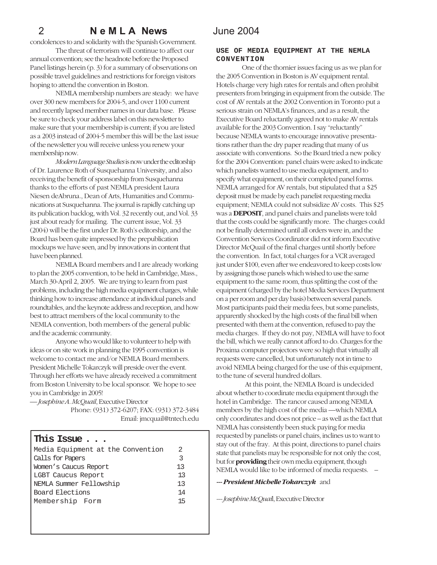condolences to and solidarity with the Spanish Government.

The threat of terrorism will continue to affect our annual convention; see the headnote before the Proposed Panel listings herein (p. 3) for a summary of observations on possible travel guidelines and restrictions for foreign visitors hoping to attend the convention in Boston.

NEMLA membership numbers are steady: we have over 300 new members for 2004-5, and over 1100 current and recently lapsed member names in our data base. Please be sure to check your address label on this newsletter to make sure that your membership is current; if you are listed as a 2003 instead of 2004-5 member this will be the last issue of the newsletter you will receive unless you renew your membership now.

*Modern Language Studies* is now under the editorship of Dr. Laurence Roth of Susquehanna University, and also receiving the benefit of sponsorship from Susquehanna thanks to the efforts of past NEMLA president Laura Niesen deAbruna., Dean of Arts, Humanities and Communications at Susquehanna. The journal is rapidly catching up its publication backlog, with Vol. 32 recently out, and Vol. 33 just about ready for mailing. The current issue, Vol. 33 (2004) will be the first under Dr. Roth's editorship, and the Board has been quite impressed by the prepublication mockups we have seen, and by innovations in content that have been planned.

NEMLA Board members and I are already working to plan the 2005 convention, to be held in Cambridge, Mass., March 30-April 2, 2005. We are trying to learn from past problems, including the high media equipment charges, while thinking how to increase attendance at individual panels and roundtables, and the keynote address and reception, and how best to attract members of the local community to the NEMLA convention, both members of the general public and the academic community.

Anyone who would like to volunteer to help with ideas or on site work in planning the 1995 convention is welcome to contact me and/or NEMLA Board members. President Michelle Tokarczyk will preside over the event. Through her efforts we have already received a commitment from Boston University to be local sponsor. We hope to see you in Cambridge in 2005!

— *Josephine A. McQuail*, Executive Director

 Phone: (931) 372-6207; FAX: (931) 372-3484 Email: jmcquail@tntech.edu

### **This Issue . . .**

| Media Equipment at the Convention |    |
|-----------------------------------|----|
| Calls for Papers                  | 3  |
| Women's Caucus Report             | 13 |
| LGBT Caucus Report                | 13 |
| NEMLA Summer Fellowship           | 13 |
| Board Elections                   | 14 |
| Membership Form                   | 15 |
|                                   |    |

### **USE OF MEDIA EQUIPMENT AT THE NEMLA CONVENTION**

One of the thornier issues facing us as we plan for the 2005 Convention in Boston is AV equipment rental. Hotels charge very high rates for rentals and often prohibit presenters from bringing in equipment from the outside. The cost of AV rentals at the 2002 Convention in Toronto put a serious strain on NEMLA's finances, and as a result, the Executive Board reluctantly agreed not to make AV rentals available for the 2003 Convention. I say "reluctantly" because NEMLA wants to encourage innovative presentations rather than the dry paper reading that many of us associate with conventions. So the Board tried a new policy for the 2004 Convention: panel chairs were asked to indicate which panelists wanted to use media equipment, and to specify what equipment, on their completed panel forms. NEMLA arranged for AV rentals, but stipulated that a \$25 deposit must be made by each panelist requesting media equipment; NEMLA could not subsidize AV costs. This \$25 was a **DEPOSIT**, and panel chairs and panelists were told that the costs could be significantly more. The charges could not be finally determined until all orders were in, and the Convention Services Coordinator did not inform Executive Director McQuail of the final charges until shortly before the convention. In fact, total charges for a VCR averaged just under \$100, even after we endeavored to keep costs low by assigning those panels which wished to use the same equipment to the same room, thus splitting the cost of the equipment (charged by the hotel Media Services Department on a per room and per day basis) between several panels. Most participants paid their media fees, but some panelists, apparently shocked by the high costs of the final bill when presented with them at the convention, refused to pay the media charges. If they do not pay, NEMLA will have to foot the bill, which we really cannot afford to do. Charges for the Proxima computer projectors were so high that virtually all requests were cancelled, but unfortunately not in time to avoid NEMLA being charged for the use of this equipment, to the tune of several hundred dollars.

 At this point, the NEMLA Board is undecided about whether to coordinate media equipment through the hotel in Cambridge. The rancor caused among NEMLA members by the high cost of the media —which NEMLA only coordinates and does not price – as well as the fact that NEMLA has consistently been stuck paying for media requested by panelists or panel chairs, inclines us to want to stay out of the fray. At this point, directions to panel chairs state that panelists may be responsible for not only the cost, but for **providing** their own media equipment, though NEMLA would like to be informed of media requests. –

### *--- President Michelle Tokarczyk* and

*--- Josephine McQuai*l, Executive Director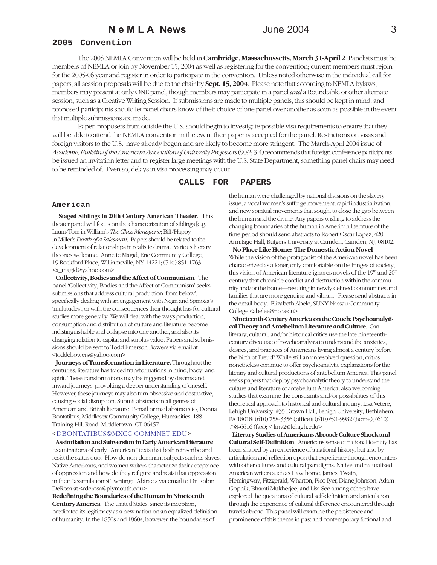### **2005 Convention**

The 2005 NEMLA Convention will be held in **Cambridge, Massachussetts, March 31-April 2**. Panelists must be members of NEMLA or join by November 15, 2004 as well as registering for the convention; current members must rejoin for the 2005-06 year and register in order to participate in the convention. Unless noted otherwise in the individual call for papers, all session proposals will be due to the chair by **Sept. 15, 2004**. Please note that according to NEMLA bylaws, members may present at only ONE panel, though members may participate in a panel *and* a Roundtable or other alternate session, such as a Creative Writing Session. If submissions are made to multiple panels, this should be kept in mind, and proposed participants should let panel chairs know of their choice of one panel over another as soon as possible in the event that multiple submissions are made.

Paper proposers from outside the U.S. should begin to investigate possible visa requirements to ensure that they will be able to attend the NEMLA convention in the event their paper is accepted for the panel. Restrictions on visas and foreign visitors to the U.S. have already begun and are likely to become more stringent. The March-April 2004 issue of *Academe, Bulletin of the American Association of University Professors* (90:2; 3-4) recommends that foreign conference participants be issued an invitation letter and to register large meetings with the U.S. State Department, something panel chairs may need to be reminded of. Even so, delays in visa processing may occur.

### **CALLS FOR PAPERS**

#### **American**

 **Staged Siblings in 20th Century American Theater**. This theater panel will focus on the characterization of siblings [e.g. Laura/Tom in William's *The Glass Menagerie*; Biff/Happy in Miller's *Death of a Salesman*]. Papers should be related to the development of relationships in realistic drama. Various literary theories welcome. Annette Magid, Erie Community College, 19 Rockford Place, Williamsville, NY 14221; (716) 851-1763 <a\_magid@yahoo.com>

 **Collectivity, Bodies and the Affect of Communism**. The panel 'Collectivity, Bodies and the Affect of Communism' seeks submissions that address cultural production 'from below', specifically dealing with an engagement with Negri and Spinoza's 'multitudes', or with the consequences their thought has for cultural studies more generally. We will deal with the ways production, consumption and distribution of culture and literature become indistinguishable and collapse into one another, and also its changing relation to capital and surplus value. Papers and submissions should be sent to Todd Emerson Bowers via email at <toddebowers@yahoo.com**>**

 **Journeys of Transformation in Literature.** Throughout the centuries, literature has traced transformations in mind, body, and spirit. These transformations may be triggered by dreams and inward journeys, provoking a deeper understanding of oneself. However, these journeys may also turn obsessive and destructive, causing social disruption. Submit abstracts in all genres of American and British literature. E-mail or mail abstracts to, Donna Bontatibus, Middlesex Community College, Humanities, 188 Training Hill Road, Middletown, CT 06457

### <DBONTATIBUS@MXCC.COMMNET.EDU>

 **Assimilation and Subversion in Early American Literature**. Examinations of early "American" texts that both reinscribe and resist the status quo. How do non-dominant subjects such as slaves, Native Americans, and women writers characterize their acceptance of oppression and how do they refigure and resist that oppression in their "assimilationist" writing? Abtracts via email to Dr. Robin DeRosa at <rderosa@plymouth.edu>

**Redefining the Boundaries of the Human in Nineteenth Century America**. The United States, since its inception, predicated its legitimacy as a new nation on an equalized definition of humanity. In the 1850s and 1860s, however, the boundaries of

the human were challenged by national divisions on the slavery issue, a vocal women's suffrage movement, rapid industrialization, and new spiritual movements that sought to close the gap between the human and the divine. Any papers wishing to address the changing boundaries of the human in American literature of the time period should send abstracts to Robert Oscar Lopez, 420 Armitage Hall, Rutgers University at Camden, Camden, NJ, 08102.

 **No Place Like Home: The Domestic Action Novel** While the vision of the protagonist of the American novel has been characterized as a loner, only comfortable on the fringes of society, this vision of American literature ignores novels of the  $19<sup>th</sup>$  and  $20<sup>th</sup>$ century that chronicle conflict and destruction within the community and/or the home—resulting in newly defined communities and families that are more genuine and vibrant. Please send abstracts in the email body. Elizabeth Abele, SUNY Nassau Community College <abelee@ncc.edu>

 **Nineteenth-Century America on the Couch: Psychoanalytical Theory and Antebellum Literature and Culture**. Can literary, cultural, and/or historical critics use the late nineteenthcentury discourse of psychoanalysis to understand the anxieties, desires, and practices of Americans living almost a century before the birth of Freud? While still an unresolved question, critics nonetheless continue to offer psychoanalytic explanations for the literary and cultural productions of antebellum America. This panel seeks papers that deploy psychoanalytic theory to understand the culture and literature of antebellum America, also welcoming studies that examine the constraints and/or possibilities of this theoretical approach to historical and cultural inquiry. Lisa Vetere, Lehigh University, #35 Drown Hall, Lehigh University, Bethlehem, PA 18018; (610) 758-3356 (office); (610) 691-9982 (home); (610) 758-6616 (fax); < lmv2@lehigh.edu>

 **Literary Studies of Americans Abroad: Culture Shock and Cultural Self-Definition**. Americans sense of national identity has been shaped by an experience of a national history, but also by articulation and reflection upon that experience through encounters with other cultures and cultural paradigms. Native and naturalized American writers such as Hawthorne, James, Twain, Hemingway, Fitzgerald, Wharton, Pico Iyer, Diane Johnson, Adam Gopnik, Bharati Mukherjee, and Lisa See among others have explored the questions of cultural self-definition and articulation through the experience of cultural difference encountered through travels abroad. This panel will examine the persistence and prominence of this theme in past and contemporary fictional and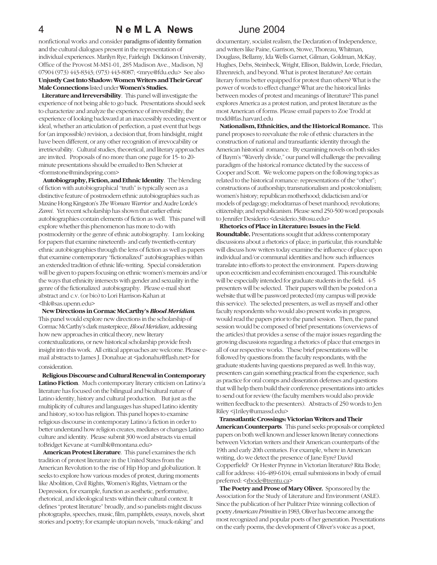nonfictional works and consider paradigms of identity formation and the cultural dialogues present in the representation of individual experiences. Marilyn Rye, Fairleigh Dickinson University, Office of the Provost M-MS1-01, 285 Madison Ave., Madison, NJ 07904 (973) 443-8343; (973) 443-8087; <mrye@fdu.edu> See also **Unjustly Cast Into Shadow: Women Writers and Their Great' Male Connections** listed under **Women's Studies.**

 **Literature and Irreversibility**. This panel will investigate the experience of not being able to go back. Presentations should seek to characterize and analyze the experience of irreversibility, the experience of looking backward at an inaccessibly receding event or ideal, whether an articulation of perfection, a past event that begs for (an impossible) revision, a decision that, from hindsight, might have been different, or any other recognition of irrevocability or irretrievability. Cultural studies, theoretical, and literary approaches are invited. Proposals of no more than one page for 15- to 20 minute presentations should be emailed to Ben Schreier at <formstone@mindspring.com>

 **Autobiography, Fiction, and Ethnic Identity**. The blending of fiction with autobiographical "truth" is typically seen as a distinctive feature of postmodern ethnic autobiographies such as Maxine Hong Kingston's *The Woman Warrior* and Audre Lorde's *Zami*. Yet recent scholarship has shown that earlier ethnic autobiographies contain elements of fiction as well. This panel will explore whether this phenomenon has more to do with postmodernity or the genre of ethnic autobiography. I am looking for papers that examine nineteenth- and early twentieth-century ethnic autobiographies through the lens of fiction as well as papers that examine contemporary "fictionalized" autobiographies within an extended tradition of ethnic life-writing. Special consideration will be given to papers focusing on ethnic women's memoirs and/or the ways that ethnicity intersects with gender and sexuality in the genre of the fictionalized autobiography. Please e-mail short abstract and c.v. (or bio) to Lori Harrison-Kahan at <lhk@sas.upenn.edu>

 **New Directions in Cormac McCarthy's** *Blood Meridian.* This panel would explore new directions in the scholarship of Cormac McCarthy's dark masterpiece, *Blood Meridian*, addressing how new approaches in critical theory, new literary contextualizations, or new historical scholarship provide fresh insight into this work. All critical approaches are welcome. Please email abstracts to James J. Donahue at <jadonahu@flash.net> for consideration.

 **Religious Discourse and Cultural Renewal in Contemporary Latino Fiction**. Much contemporary literary criticism on Latino/a literature has focused on the bilingual and bicultural nature of Latino identity, history and cultural production. But just as the multiplicity of cultures and languages has shaped Latino identity and history, so too has religion. This panel hopes to examine religious discourse in contemporary Latino/a fiction in order to better understand how religion creates, mediates or changes Latino culture and identity. Please submit 300 word abstracts via email toBridget Kevane at <umlbk@montana.edu>

 **American Protest Literature**. This panel examines the rich tradition of protest literature in the United States from the American Revolution to the rise of Hip Hop and globalization. It seeks to explore how various modes of protest, during moments like Abolition, Civil Rights, Women's Rights, Vietnam or the Depression, for example, function as aesthetic, performative, rhetorical, and ideological texts within their cultural context. It defines "protest literature" broadly, and so panelists might discuss photographs, speeches, music, film, pamphlets, essays, novels, short stories and poetry; for example utopian novels, "muck-raking" and

documentary, socialist realism, the Declaration of Independence, and writers like Paine, Garrison, Stowe, Thoreau, Whitman, Douglass, Bellamy, Ida Wells Garnet, Gilman, Goldman, McKay, Hughes, Debs, Steinbeck, Wright, Ellison, Baldwin, Lorde, Friedan, Ehrenreich, and beyond. What is protest literature? Are certain literary forms better equipped for protest than others? What is the power of words to effect change? What are the historical links between modes of protest and meanings of literature? This panel explores America as a protest nation, and protest literature as the most American of forms. Please email papers to Zoe Trodd at trodd@fas.harvard.edu

 **Nationalism, Ethnicities, and the Historical Romance.** This panel proposes to reevaluate the role of ethnic characters in the construction of national and transatlantic identity through the American historical romance. By examining novels on both sides of Baym's "Waverly divide," our panel will challenge the prevailing paradigm of the historical romance dictated by the success of Cooper and Scott. We welcome papers on the following topics as related to the historical romance: representations of the "other"; constructions of authorship; transnationalism and postcolonialism; women's history; republican motherhood; didacticism and/or models of pedagogy; melodramas of beset manhood; revolutions; citizenship; and republicanism. Please send 250-500 word proposals to Jennifer Desiderio <desiderio.3@osu.edu>

 **Rhetorics of Place in Literature: Issues in the Field**. **Roundtable.** Presentations sought that address contemporary discussions about a rhetorics of place; in particular, this roundtable will discuss how writers today examine the influence of place upon individual and/or communal identities and how such influences translate into efforts to protect the environment. Papers drawing upon ecocriticism and ecofeminism encouraged. This roundtable will be especially intended for graduate students in the field. 4-5 presenters will be selected. Their papers will then be posted on a website that will be password protected (my campus will provide this service). The selected presenters, as well as myself and other faculty respondents who would also present works in progress, would read the papers prior to the panel session. Then, the panel session would be composed of brief presentations (overviews of the articles) that provides a sense of the major issues regarding the growing discussions regarding a rhetorics of place that emerges in all of our respective works. These brief presentations will be followed by questions from the faculty respondants, with the graduate students having questions prepared as well. In this way, presenters can gain something practical from the experience, such as practice for oral comps and disseration defenses and questions that will help them build their conference presentations into articles to send out for review (the faculty members would also provide written feedback to the presenters). Abstracts of 250 words to Jen Riley <j1riley@umassd.edu>

 **Transatlantic Crossings: Victorian Writers and Their American Counterparts**. This panel seeks proposals or completed papers on both well known and lesser known literary connections between Victorian writers and their American counterparts of the 19th and early 20th centuries. For example, where in American writing, do we detect the presence of Jane Eyre? David Copperfield? Or Hester Prynne in Victorian literature? Rita Bode; call for address: 416-489-6104; email submissions in body of email preferred: <rbode@trentu.ca>

 **The Poetry and Prose of Mary Oliver.** Sponsored by the Association for the Study of Literature and Environment (ASLE). Since the publication of her Pulitzer Prize winning collection of poetry *American Primitive* in 1983, Oliver has become among the most recognized and popular poets of her generation. Presentations on the early poems, the development of Oliver's voice as a poet,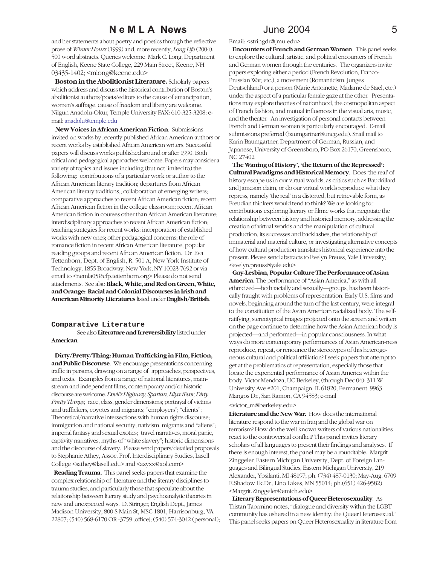and her statements about poetry and poetics through the reflective prose of *Winter Hours* (1999) and, more recently, *Long Life* (2004). 500 word abstracts. Queries welcome. Mark C. Long, Department of English, Keene State College, 229 Main Street, Keene, NH 03435-1402; <mlong@keene.edu>

 **Boston in the Abolitionist Literature.** Scholarly papers which address and discuss the historical contribution of Boston's abolitionist authors/poets/editors to the cause of emancipation, women's suffrage, cause of freedom and liberty are welcome. Nilgun Anadolu-Okur, Temple University FAX: 610-325-3208; email: anadolu@temple.edu

 **New Voices in African American Fiction**. Submissions invited on works by recently published African American authors or recent works by established African American writers. Successful papers will discuss works published around or after 1990. Both critical and pedagogical approaches welcome. Papers may consider a variety of topics and issues including (but not limited to) the following: contributions of a particular work or author to the African American literary tradition; departures from African American literary traditions,; collaboration of emerging writers; comparative approaches to recent African American fiction; recent African American fiction in the college classroom; recent African American fiction in courses other than African American literature; interdisciplinary approaches to recent African American fiction; teaching strategies for recent works; incorporation of established works with new ones; other pedagogical concerns; the role of romance fiction in recent African American literature; popular reading groups and recent African American fiction. Dr. Eva Tettenborn, Dept. of English, R. 501 A, New York Institute of Technology, 1855 Broadway, New York, NY 10023-7692 or via email to <nemla05@cfp.tettenborn.org> Please do not send attachments. See also **Black, White, and Red on Green, White, and Orange: Racial and Colonial Discourses in Irish and American Minority Literatures** listed under **English/British**.

#### **Comparative Literature**

See also **Literature and Irreversibility** listed under **American**.

 **Dirty/Pretty/Thing: Human Trafficking in Film, Fiction, and Public Discourse**. We encourage presentations concerning traffic in persons, drawing on a range of approaches, perspectives, and texts. Examples from a range of national literatures, mainstream and independent films, contemporary and/or historic discourse are welcome. *Devil's Highway, Spartan, Lilya4Ever, Dirty Pretty Things*; race, class, gender dimensions; portrayal of victims and traffickers, coyotes and migrants; "employers"; "clients"; Theoretical/narrative intersections with human rights discourse; immigration and national security; nativism, migrants and "aliens"; imperial fantasy and sexual exotics; travel narratives, moral panic, captivity narratives, myths of "white slavery"; historic dimensions and the discourse of slavery. Please send papers/detailed proposals to Stephanie Athey, Assoc. Prof. Interdisciplinary Studies, Lasell College <sathey@lasell.edu> and <azyxx@aol.com>

 **Reading Trauma.** This panel seeks papers that examine the complex relationship of literature and the literary disciplines to trauma studies, and particularly those that speculate about the relationship between literary study and psychoanalytic theories in new and unexpected ways.D. Stringer, English Dept., James Madison University, 800 S Main St, MSC 1801, Harrisonburg, VA 22807; (540) 568-6170 OR -3759 [office]; (540) 574-3042 (personal);

#### Email: <stringdr@jmu.edu>

 **Encounters of French and German Women**. This panel seeks to explore the cultural, artistic, and political encounters of French and German women through the centuries. The organizers invite papers exploring either a period (French Revolution, Franco-Prussian War, etc.), a movement (Romanticism, Junges Deutschland) or a person (Marie Antoinette, Madame de Stael, etc.) under the aspect of a particular female gaze at the other. Presentations may explore theories of nationhood, the cosmopolitan aspect of French fashion, and mutual influences in the visual arts, music, and the theater. An investigation of personal contacts between French and German women is particularly encouraged. E-mail submissions preferred (baumgartner@uncg.edu). Snail mail to Karin Baumgartner, Department of German, Russian, and Japanese, University of Greensboro, PO Box 26170, Greensboro, NC 27402

 **The Waning of History', 'the Return of the Repressed': Cultural Paradigms and Historical Memory**. Does 'the real' of history escape us in our virtual worlds, as critics such as Baudrillard and Jameson claim, or do our virtual worlds reproduce what they repress, namely 'the real' in a distorted, but retrievable form, as Freudian thinkers would tend to think? We are looking for contributions exploring literary or filmic works that negotiate the relationship between history and historical memory, addressing the creation of virtual worlds and the manipulation of cultural production, its successes and backlashes, the relationship of immaterial and material culture, or investigating alternative concepts of how cultural production translates historical experience into the present. Please send abstracts to Evelyn Preuss, Yale University; <evelyn.preuss@yale.edu>

 **Gay-Lesbian, Popular Culture The Performance of Asian America.** The performance of "Asian America," as with all ethnicized—both racially and sexually—groups, has been historically fraught with problems of representation. Early U.S. films and novels, beginning around the turn of the last century, were integral to the constitution of the Asian American racialized body. The selfratifying, stereotypical images projected onto the screen and written on the page continue to determine how the Asian American body is projected—and performed—in popular consciousness. In what ways do more contemporary performances of Asian American-ness reproduce, repeat, or renounce the stereotypes of this heterogeneous cultural and political affiliation? I seek papers that attempt to get at the problematics of representation, especially those that locate the experiential performance of Asian America within the body. Victor Mendoza, UC Berkeley, (through Dec 04): 311 W. University Ave #201, Champaign, IL 61820; Permanent: 9963 Mangos Dr., San Ramon, CA 94583; e-mail

#### <victor\_m@berkeley.edu>

**Literature and the New War.** How does the international literature respond to the war in Iraq and the global war on terrorism? How do the well known writers of various nationalities react to the controversial conflict? This panel invites literary scholars of all languages to present their findings and analyses. If there is enough interest, the panel may be a roundtable. Margrit Zinggeler, Eastern Michigan University, Dept. of Foreign Languages and Bilingual Studies, Eastern Michigan University, 219 Alexander, Ypsilanti, MI 48197; ph. (734) 487-0130; May-Aug. 6709 E.Shadow Lk.Dr., Lino Lakes, MN 55014; ph.(651) 426-9582) <Margrit.Zinggeler@emich.edu>

 **Literary Representations of Queer Heterosexuality**. As Tristan Taormino notes, "dialogue and diversity within the LGBT community has ushered in a new identity: the Queer Heterosexual." This panel seeks papers on Queer Heterosexuality in literature from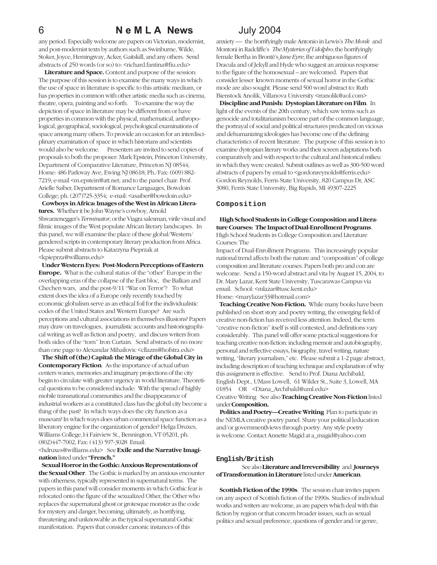## 6 **N e M L A News** July 2004

any period. Especially welcome are papers on Victorian, modernist, and post-modernist texts by authors such as Swinburne, Wilde, Stoker, Joyce, Hemingway, Acker, Gaitskill, and any others. Send abstracts of 250 words (or so) to: <richard.fantina@fiu.edu>

 **Literature and Space.** Content and purpose of the session: The purpose of this session is to examine the many ways in which the use of space in literature is specific to this artisitic medium, or has properties in common with other artistic media such as cinema, theatre, opera, painting and so forth. To examine the way the depiction of space in literature may be different from or have properties in common with the physical, mathematical, anthropological, geographical, sociological, psychological examinations of space among many others. To provide an occasion for an interdisciplinary examination of space in which historians and scientists would also be welcome. Presenters are invited to send copies of proposals to both the proposer: Mark Epstein, Princeton University, Department of Comparative Literature, Princeton NJ 08544; Home: 486 Parkway Ave, Ewing NJ 08618; Ph./Fax: (609) 882- 7219; e-mail <m.epstein@att.net; and to the panel chair: Prof. Arielle Saiber, Department of Romance Languages, Bowdoin College; ph. (207)725-3354; e-mail: <asaiber@bowdoin.edu>

 **Cowboys in Africa: Images of the West in African Literatures.** Whether it be John Wayne's cowboy, Arnold Shwarzenegger's *Terminator*, or the Viagra salesman, virile visual and filmic images of the West populate African literary landscapes. In this panel, we will examine the place of these global/Western/ gendered scripts in contemporary literary production from Africa. Please submit abstracts to Katarzyna Pieprzak at <kpieprza@williams.edu>

 **Under Western Eyes: Post-Modern Perceptions of Eastern Europe.** What is the cultural status of the "other" Europe in the overlapping eras of the collapse of the East bloc, the Balkan and Chechen wars, and the post-9/11 "War on Terror"? To what extent does the idea of a Europe only recently touched by economic globalism serve as an ethical foil for the individualistic codes of the United States and Western Europe? Are such perceptions and cultural associations in themselves illusions? Papers may draw on travelogues, journalistic accounts and historiographical writing as well as fiction and poetry, and discuss writers from both sides of the "torn" Iron Curtain. Send abstracts of no more than one page to Alexandar Mihailovic <cllazm@hofstra.edu>

 **The Shift of (the) Capital: the Mirage of the Global City in Contemporary Fiction**. As the importance of actual urban centers wanes, memories and imaginary projections of the city begin to circulate with greater urgency in world literature. Theoretical questions to be considered include: With the spread of highly mobile transnational communities and the disappearance of industrial workers as a constituted class has the global city become a thing of the past? In which ways does the city function as a museum? In which ways does urban commercial space function as a liberatory engine for the organization of gender? Helga Druxes, Williams College,14 Fairview St., Bennington, VT 05201, ph. (802)447-7002, Fax: (413) 597-3028 Email:

#### <hdruxes@williams.edu> See **Exile and the Narrative Imagination** listed under **"French."**

 **Sexual Horror in the Gothic: Anxious Representations of the Sexual Other**. The Gothic is marked by an anxious encounter with otherness, typically represented in supernatural terms. The papers in this panel will consider moments in which Gothic fear is relocated onto the figure of the sexualized Other, the Other who replaces the supernatural ghost or grotesque monster as the code for mystery and danger, becoming, ultimately, as horrifying, threatening and unknowable as the typical supernatural Gothic manifestation. Papers that consider canonic instances of this

anxiety — the horrifyingly male Antonio in Lewis's *The Monk* and Montoni in Radcliffe's *The Mysteries of Udolpho*; the horrifyingly female Bertha in Brontë's *Jane Eyre*; the ambiguous figures of Dracula and of Jekyll and Hyde who suggest an anxious response to the figure of the homosexual – are welcomed. Papers that consider lesser known moments of sexual horror in the Gothic mode are also sought. Please send 500 word abstract to: Ruth Bienstock Anolik, Villanova University <rranolik@aol.com>

 **Discipline and Punish: Dystopian Literature on Film**. In light of the events of the 20th century, which saw terms such as genocide and totalitarianism become part of the common language, the portrayal of social and political structures predicated on vicious and dehumanizing ideologies has become one of the defining characteristics of recent literature. The purpose of this session is to examine dystopian literary works and their screen adaptations both comparatively and with respect to the cultural and historical milieu in which they were created. Submit outlines as well as 300-500 word abstracts of papers by email to <gordonreynolds@ferris.edu> Gordon Reynolds, Ferris State University, 820 Campus Dr, ASC 3080, Ferris State University, Big Rapids, MI 49307-2225

#### **Composition**

#### **High School Students in College Composition and Literature Courses: The Impact of Dual-Enrollment Programs**. High School Students in College Composition and Literature Courses: The

Impact of Dual-Enrollment Programs. This increasingly popular national trend affects both the nature and "composition" of college composition and literature courses. Papers both pro and con are welcome. Send a 150-word abstract and vita by August 15, 2004, to Dr. Mary Lazar, Kent State University, Tuscarawas Campus via email. School: <mlazar@tusc.kent.edu> Home: <marylazar33@hotmail.com>

 **Teaching Creative Non-Fiction.** While many books have been published on short story and poetry writing, the emerging field of creative non-fiction has received less attention. Indeed, the term "creative non-fiction" itself is still contested, and definitions vary considerably. This panel will offer some practical suggestions for teaching creative non-fiction: including memoir and autobiography, personal and reflective essays, biography, travel writing, nature writing, "literary journalism," etc. Please submit a 1-2 page abstract, including description of teaching technique and explanation of why this assignment is effective. Send to Prof. Diana Archibald, English Dept., UMass Lowell, 61 Wilder St., Suite 3, Lowell, MA 01854 OR <Diana\_Archibald@uml.edu>

### Creative Writing See also **Teaching Creative Non-Fiction** listed under **Composition.**

 **Politics and Poetry—Creative Writing** Plan to participate in the NEMLA creative poetry panel. Share your political [education and/or government]views through poetry. Any style poetry is welcome. Contact Annette Magid at a\_magid@yahoo.com

#### **English/British**

### See also **Literature and Irreversibility** and **Journeys of Transformation in Literature** listed under **American**.

 **Scottish Fiction of the 1990s**. The session chair invites papers on any aspect of Scottish fiction of the 1990s. Studies of individual works and writers are welcome, as are papers which deal with this fiction by region or that concern broader issues, such as sexual politics and sexual preference, questions of gender and/or genre,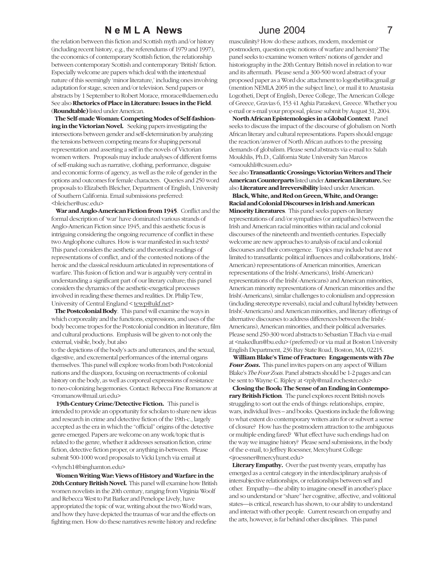the relation between this fiction and Scottish myth and/or history (including recent history, e.g., the referendums of 1979 and 1997), the economics of contemporary Scottish fiction, the relationship between contemporary Scottish and contemporary 'British' fiction. Especially welcome are papers which deal with the intertextual nature of this seemingly 'minor literature,' including ones involving adaptation for stage, screen and/or television. Send papers or abstracts by 1 September to Robert Morace, rmorace@daemen.edu See also **Rhetorics of Place in Literature: Issues in the Field**. (**Roundtable)** listed under American.

 **The Self-made Woman: Competing Modes of Self-fashion**ing in the Victorian Novel. Seeking papers investigating the intersections between gender and self-determination by analyzing the tensions between competing means for shaping personal representation and asserting a self in the novels of Victorian women writers. Proposals may include analyses of different forms of self-making such as narrative, clothing, performance, disguise and economic forms of agency, as well as the role of gender in the options and outcomes for female characters. Queries and 250 word proposals to Elizabeth Bleicher, Department of English, University of Southern California. Email submissions preferred: <bleicher@usc.edu>

 **War and Anglo-American Fiction from 1945**. Conflict and the formal description of 'war' have dominated various strands of Anglo-American Fiction since 1945, and this aesthetic focus is intriguing considering the ongoing recurrence of conflict in these two Anglophone cultures. How is war manifested in such texts? This panel considers the aesthetic and theoretical readings of representations of conflict, and of the contested notions of the heroic and the classical residuum articulated in representations of warfare. This fusion of fiction and war is arguably very central in understanding a significant part of our literary culture; this panel considers the dynamics of the aesthetic-exegetical processes involved in reading these themes and realities. Dr. Philip Tew, University of Central England < tewp@ukf.net>

 **The Postcolonial Body**. This panel will examine the ways in which corporeality and the functions, expressions, and uses of the body become tropes for the Postcolonial condition in literature, film and cultural productions. Emphasis will be given to not only the external, visible, body, but also

to the depictions of the body's acts and utterances, and the sexual, digestive, and excremental performances of the internal organs themselves. This panel will explore works from both Postcolonial nations and the diaspora, focusing on reenactments of colonial history on the body, as well as corporeal expressions of resistance to neo-colonizing hegemonies. Contact: Rebecca Fine Romanow at <rromanow@mail.uri.edu>

 **19th-Century Crime/Detective Fiction.** This panel is intended to provide an opportunity for scholars to share new ideas and research in crime and detective fiction of the 19th-c., largely accepted as the era in which the "official" origins of the detective genre emerged. Papers are welcome on any work/topic that is related to the genre, whether it addresses sensation fiction, crime fiction, detective fiction proper, or anything in-between. Please submit 500-1000 word proposals to Vicki Lynch via email at

#### <vlynch1@binghamton.edu>

 **Women Writing War: Views of History and Warfare in the 20th Century British Novel.** This panel will examine how British women novelists in the 20th century, ranging from Virginia Woolf and Rebecca West to Pat Barker and Penelope Lively, have appropriated the topic of war, writing about the two World wars, and how they have depicted the traumas of war and the effects on fighting men. How do these narratives rewrite history and redefine

masculinity? How do these authors, modern, modernist or postmodern, question epic notions of warfare and heroism? The panel seeks to examine women writers' notions of gender and historiography in the 20th Century British novel in relation to war and its aftermath. Please send a 300-500 word abstract of your proposed paper as a Word doc attachment to logotheti@acgmail.gr (mention NEMLA 2005 in the subject line), or mail it to Anastasia Logotheti, Dept of English, Deree College, The American College of Greece, Gravias 6, 153 41 Aghia Paraskevi, Greece. Whether you e-mail or s-mail your proposal, please submit by August 31, 2004.

 **North African Epistemologies in a Global Context**. Panel seeks to discuss the impact of the discourse of globalism on North African literary and cultural representations. Papers should engage the reaction/answer of North African authors to the pressing demands of globalism. Please send abstracts via e-mail to: Salah Moukhlis, Ph.D., California State University San Marcos <smoukhli@csusm.edu>

See also **Transatlantic Crossings: Victorian Writers and Their American Counterparts** listed under **American Literature.** See also **Literature and Irreversibility** listed under American.

 **Black, White, and Red on Green, White, and Orange: Racial and Colonial Discourses in Irish and American Minority Literatures**. This panel seeks papers on literary representations of and/or sympathies (or antipathies) between the Irish and American racial minorities within racial and colonial discourses of the nineteenth and twentieth centuries. Especially welcome are new approaches to analysis of racial and colonial discourses and their convergence. Topics may include but are not limited to transatlantic political influences and collaborations, Irish(- American) representations of American minorities, American representations of the Irish(-Americans), Irish(-American) representations of the Irish(-Americans) and American minorities, American minority representations of American minorities and the Irish(-Americans), similar challenges to colonialism and oppression (including stereotype reversals), racial and cultural hybridity between Irish(-Americans) and American minorities, and literary offerings of alternative discourses to address differences between the Irish(- Americans), American minorities, and their political adversaries. Please send 250-300 word abstracts to Sebastian T.Bach via e-mail at <nakedlun@bu.edu> (preferred) or via mail at Boston University English Department, 236 Bay State Road, Boston, MA, 02215.

 **William Blake's Time of Fracture: Engagements with** *The Four Zoas***.** This panel invites papers on any aspect of William Blake's *The Four Zoas*. Panel abstracts should be 1-2 pages and can be sent to Wayne C. Ripley at <rply@mail.rochester.edu>

 **Closing the Book: The Sense of an Ending in Contemporary British Fiction**. The panel explores recent British novels struggling to sort out the ends of things: relationships, empire, wars, individual lives – and books. Questions include the following: to what extent do contemporary writers aim for or subvert a sense of closure? How has the postmodern attraction to the ambiguous or multiple ending fared? What effect have such endings had on the way we imagine history? Please send submissions, in the body of the e-mail, to Jeffrey Roessner, Mercyhurst College <jroessner@mercyhurst.edu>

 **Literary Empathy.** Over the past twenty years, empathy has emerged as a central category in the interdisciplinary analysis of intersubjective relationships, or relationships between self and other. Empathy—the ability to imagine oneself in another's place and so understand or "share" her cognitive, affective, and volitional states—is critical, research has shown, to our ability to understand and interact with other people. Current research on empathy and the arts, however, is far behind other disciplines. This panel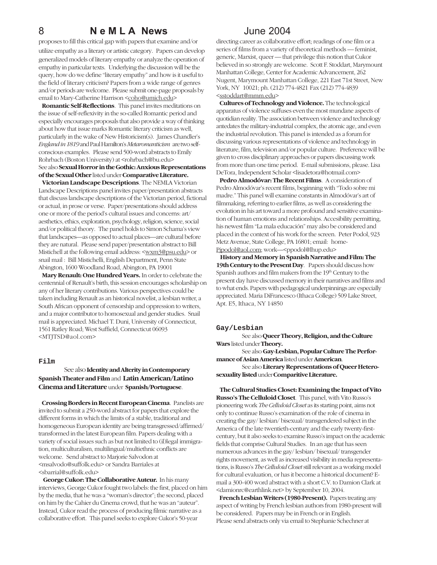proposes to fill this critical gap with papers that examine and/or utilize empathy as a literary or artistic category. Papers can develop generalized models of literary empathy or analyze the operation of empathy in particular texts. Underlying the discussion will be the query, how do we define "literary empathy" and how is it useful to the field of literary criticism? Papers from a wide range of genres and/or periods are welcome. Please submit one-page proposals by email to Mary-Catherine Harrison <coho@umich.edu>

 **Romantic Self-Reflections**. This panel invites meditations on the issue of self-reflexivity in the so-called Romantic period and especially encourages proposals that also provide a way of thinking about how that issue marks Romantic literary criticism as well, particularly in the wake of New Historicism(s). James Chandler's *England in 1819* and Paul Hamilton's *Metaromanticism* are two selfconscious examples. Please send 500-word abstracts to Emily Rohrbach (Boston University) at <rohrbach@bu.edu> Seealso **Sexual Horror in the Gothic: Anxious Representations of the Sexual Other** listed under **Comparative Literature.**

 **Victorian Landscape Descriptions**. The NEMLA Victorian Landscape Descriptions panel invites paper/presentation abstracts that discuss landscape descriptions of the Victorian period, fictional or actual, in prose or verse. Paper/presentations should address one or more of the period's cultural issues and concerns: art/ aesthetics, ethics, exploration, psychology, religion, science, social and/or political theory. The panel holds to Simon Schama's view that landscapes—as opposed to actual places—are cultural before they are natural. Please send paper/presentation abstract to Bill Mistichell at the following email address: <wxm3@psu.edu> or snail mail : Bill Mistichelli, English Department, Penn State Abington, 1600 Woodland Road, Abington, PA 19001

 **Mary Renault: One Hundred Years.** In order to celebrate the centennial of Renault's birth, this session encourages scholarship on any of her literary contributions. Various perspectives could be taken including Renault as an historical novelist, a lesbian writer, a South African opponent of censorship and oppression to writers, and a major contributor to homosexual and gender studies. Snail mail is appreciated. Michael T. Duni, University of Connecticut, 1561 Ratley Road; West Suffield, Connecticut 06093 <MTJTSD@aol.com>

### **Film**

### See also **Identity and Alterity in Contemporary Spanish Theater and Film** and **Latin American/Latino Cinema and Literature** under **Spanish/Portuguese**.

 **Crossing Borders in Recent European Cinema**. Panelists are invited to submit a 250-word abstract for papers that explore the different forms in which the limits of a stable, traditional and homogeneous European identity are being transgressed/affirmed/ transformed in the latest European film. Papers dealing with a variety of social issues such as but not limited to (il)legal immigration, multiculturalism, multilingual/multiethnic conflicts are welcome. Send abstract to Marjorie Salvodon at <msalvodo@suffolk.edu> or Sandra Barriales at <sbarrial@suffolk.edu>

 **George Cukor: The Collaborative Auteur.** In his many interviews, George Cukor fought two labels: the first, placed on him by the media, that he was a "woman's director"; the second, placed on him by the Cahier du Cinema crowd, that he was an "auteur". Instead, Cukor read the process of producing filmic narrative as a collaborative effort. This panel seeks to explore Cukor's 50-year

directing career as collaborative effort; readings of one film or a series of films from a variety of theoretical methods — feminist, generic, Marxist, queer — that privilege this notion that Cukor believed in so strongly are welcome. Scott F. Stoddart, Marymount Manhattan College, Center for Academic Advancement, 262 Nugent, Marymount Manhattan College, 221 East 71st Street, New York, NY 10021; ph. (212) 774-4821 Fax (212) 774-4839 <sstoddart@mmm.edu>

 **Cultures of Technology and Violence.** The technological apparatus of violence suffuses even the most mundane aspects of quotidian reality. The association between violence and technology antedates the military-industrial complex, the atomic age, and even the industrial revolution. This panel is intended as a forum for discussing various representations of violence and technology in literature, film, television and/or popular culture. Preference will be given to cross disciplinary approaches or papers discussing work from more than one time period. E-mail submissions, please. Lisa DeTora, Independent Scholar <lisadetora@hotmail.com>

 **Pedro Almodóvar: The Recent Films**. A consideration of Pedro Almodóvar's recent films, beginning with "Todo sobre mi madre." This panel will examine constants in Almodóvar's art of filmmaking, referring to earlier films, as well as considering the evolution in his art toward a more profound and sensitive examination of human emotions and relationships. Accesibility permitting, his newest film "La mala educación" may also be considered and placed in the context of his work for the screen. Peter Podol, 923 Metz Avenue, State College, PA 16801; email: home-Pjpodol@aol.com; work—<ppodol@lhup.edu>

 **History and Memory in Spanish Narrative and Film: The 19th Century to the Present Day**. Papers should discuss how Spanish authors and film makers from the 19<sup>th</sup> Century to the present day have discussed memory in their narratives and films and to what ends. Papers with pedagogical underpinnings are especially appreciated. Maria DiFrancesco (Ithaca College) 509 Lake Street, Apt. E5, Ithaca, NY 14850

#### **Gay/Lesbian**

See also **Queer Theory, Religion, and the Culture Wars** listed under **Theory.**

See also **Gay-Lesbian, Popular Culture The Performance of Asian America** listed under **American**.

See also **Literary Representations of Queer Heterosexuality listed** under **Comparitive Literature.**

### **The Cultural Studies Closet: Examining the Impact of Vito**

**Russo's The Celluloid Closet**. This panel, with Vito Russo's pioneering work *The Celluloid Closet* as its starting point, aims not only to continue Russo's examination of the role of cinema in creating the gay/ lesbian/ bisexual/ transgendered subject in the America of the late twentieth-century and the early twenty-firstcentury, but it also seeks to examine Russo's impact on the academic fields that comprise Cultural Studies. In an age that has seen numerous advances in the gay/ lesbian/ bisexual/ transgender rights movement, as well as increased visibility in media representations, is Russo's *The Celluloid Closet* still relevant as a working model for cultural evaluation, or has it become a historical document? Email a 300-400 word abstract with a short C.V. to Damion Clark at <damionrc@earthlink.net> by September 10, 2004.

 **French Lesbian Writers (1980-Present).** Papers treating any aspect of writing by French lesbian authors from 1980-present will be considered. Papers may be in French or in English. Please send abstracts only via email to Stephanie Schechner at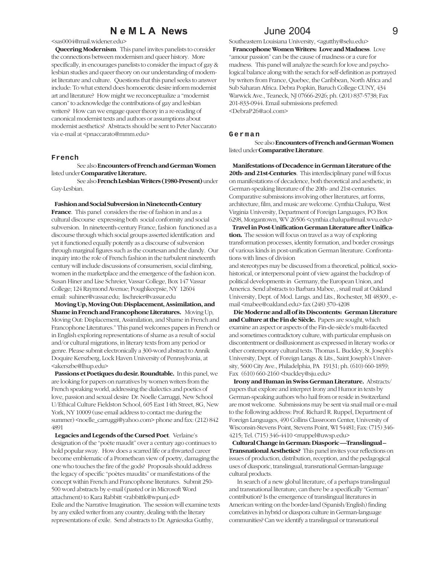#### <sas0004@mail.widener.edu>

 **Queering Modernism**. This panel invites panelists to consider the connections between modernism and queer history. More specifically, in encourages panelists to consider the impact of gay & lesbian studies and queer theory on our understanding of modernist literature and culture. Questions that this panel seeks to answer include: To what extend does homoerotic desire inform modernist art and literature? How might we reconceptualize a "modernist canon" to acknowledge the contributions of gay and lesbian writers? How can we engage queer theory in a re-reading of canonical modernist texts and authors or assumptions about modernist aesthetics? Abstracts should be sent to Peter Naccarato via e-mail at <pnaccarato@mmm.edu>

#### **French**

See also **Encounters of French and German Women** listed under **Comparative Literature.**

See also **French Lesbian Writers (1980-Present)** under Gay-Lesbian.

 **Fashion and Social Subversion in Nineteenth-Century**

**France**. This panel considers the rise of fashion in and as a cultural discourse expressing both social conformity and social subversion. In nineteenth-century France, fashion functioned as a discourse through which social groups asserted identification and yet it functioned equally potently as a discourse of subversion through marginal figures such as the courtesan and the dandy. Our inquiry into the role of French fashion in the turbulent nineteenth century will include discussions of consumerism, social climbing, women in the marketplace and the emergence of the fashion icon. Susan Hiner and Lise Schreier, Vassar College, Box 147 Vassar College; 124 Raymond Avenue; Poughkeepsie, NY 12604 email: suhiner@vassar.edu; lischreier@vassar.edu

 **Moving Up, Moving Out: Displacement, Assimilation, and Shame in French and Francophone Literatures.** Moving Up, Moving Out: Displacement, Assimilation, and Shame in French and Francophone Literatures." This panel welcomes papers in French or in English exploring representations of shame as a result of social and/or cultural migrations, in literary texts from any period or genre. Please submit electronically a 300-word abstract to Annik Doquire Kerszberg, Lock Haven University of Pennsylvania, at <akerszbe@lhup.edu>

 **Passions et Poetiques du desir.Roundtable.** In this panel, we are looking for papers on narratives by women writers from the French speaking world, addressing the dialectics and poetics of love, passion and sexual desire Dr. Noelle Carruggi, New School U/Ethical Culture Fieldston School, 605 East 14th Street, 8G, New York, NY 10009 (use email address to contact me during the summer) <noelle\_carruggi@yahoo.com> phone and fax: (212) 842 4891

 **Legacies and Legends of the Cursed Poet**. Verlaine's designation of the "poète maudit" over a century ago continues to hold popular sway. How does a scarred life or a thwarted career become emblematic of a Promethean view of poetry, damaging the one who touches the fire of the gods? Proposals should address the legacy of specific "poètes maudits" or manifestations of the concept within French and Francophone literatures. Submit 250- 500 word abstracts by e-mail (pasted or in Microsoft Word attachment) to Kara Rabbitt <rabbittk@wpunj.ed> Exile and the Narrative Imagination. The session will examine texts by any exiled writer from any country, dealing with the literary representations of exile. Send abstracts to Dr. Agnieszka Gutthy,

Southeastern Louisiana University, <agutthy@selu.edu> **Francophone Women Writers: Love and Madness**. Love "amour passion" can be the cause of madness or a cure for madness. This panel will analyze the search for love and psychological balance along with the serach for self-definition as portrayed by writers from France, Quebec, the Caribbean, North Africa and Sub Saharan Africa. Debra Popkin, Baruch College CUNY, 434 Warwick Ave., Teaneck, NJ 07666-2926; ph. (201) 837-5738; Fax 201-833-0944. Email submissions preferred: <DebraP26@aol.com>

#### **German**

See also **Encounters of French and German Women** listed under **Comparative Literature**.

 **Manifestations of Decadence in German Literature of the 20th- and 21st-Centuries**. This interdisciplinary panel will focus on manifestations of decadence, both theoretical and aesthetic, in German-speaking literature of the 20th- and 21st-centuries. Comparative submissions involving other literatures, art forms, architecture, film, and music are welcome. Cynthia Chalupa, West Virginia University, Department of Foreign Languages, PO Box 6298, Morgantown, WV 26506 <cynthia.chalupa@mail.wvu.edu>

 **Travel in Post-Unification German Literature after Unification.** The session will focus on travel as a way of exploring transformation processes, identity formation, and border crossings of various kinds in post-unification German literature. Confrontations with lines of division

and stereotypes may be discussed from a theoretical, political, sociohistorical, or interpersonal point of view against the backdrop of political developments in Germany, the European Union, and America. Send abstracts to Barbara Mabee, , snail mail at Oakland University, Dept. of Mod. Langs. and Lits., Rochester, MI 48309., email <mabee@oakland.edu> fax (248) 370-4208

 **Die Moderne and all of its Discontents: German Literature and Culture at the Fin de Siècle.** Papers are sought, which examine an aspect or aspects of the Fin-de-siècle's multi-faceted and sometimes contradictory culture, with particular emphasis on discontentment or disillusionment as expressed in literary works or other contemporary cultural texts. Thomas L. Buckley, St. Joseph's University, Dept. of Foreign Langs. & Lits., Saint Joseph's University, 5600 City Ave., Philadelphia, PA 19131; ph. (610) 660-1859; Fax (610) 660-2160 <br/>buckley@sju.edu>

 **Irony and Human in Swiss German Literature.** Abstracts/ papers that explore and interpret Irony and Humor in texts by German-speaking authors who hail from or reside in Switzerland are most welcome. Submissions may be sent via snail mail or e-mail to the following address: Prof. Richard R. Ruppel, Department of Foreign Languages, 490 Collins Classroom Center, University of Wisconsin-Stevens Point, Stevens Point, WI 54481; Fax: (715) 346- 4215; Tel. (715) 346-4410 <rruppel@uwsp.edu>

 **Cultural Change in German: Diasporic —Translingual – Transnational Aesthetics?** This panel invites your reflections on issues of production, distribution, reception, and the pedagogical uses of diasporic, translingual, transnational German-language cultural products.

 In search of a new global literature, of a perhaps translingual and transnational literature, can there be a specifically "German" contribution? Is the emergence of translingual literatures in American writing on the border-land (Spanish/English) finding correlatives in hybrid or diaspora culture in German-language communities? Can we identify a translingual or transnational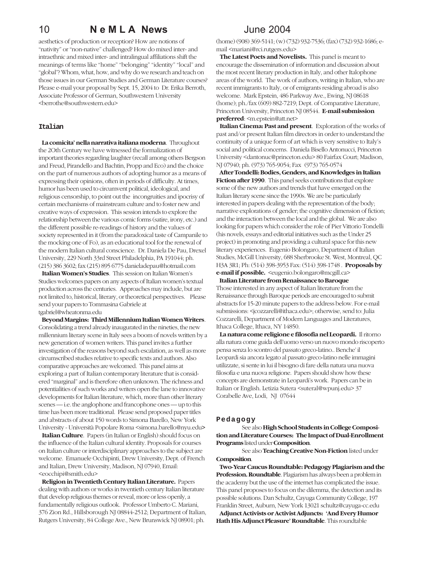aesthetics of production or reception? How are notions of "nativity" or "non-native" challenged? How do mixed inter- and intraethnic and mixed inter- and intralingual affiliations shift the meanings of terms like "home" "belonging" "identity" "local" and "global"? Whom, what, how, and why do we research and teach on those issues in our German Studies and German Literature courses? Please e-mail your proposal by Sept. 15, 2004 to Dr. Erika Berroth, Associate Professor of German, Southwestern University <berrothe@southwestern.edu>

#### **Italian**

 **La comicita' nella narrativa italiana moderna**. Throughout the 2Oth Century we have witnessed the formalization of important theories regarding laughter (recall among others Bergson and Freud, Pirandello and Bachtin, Propp and Eco) and the choice on the part of numerous authors of adopting humor as a means of expressing their opinions, often in periods of difficulty. At times, humor has been used to circumvent political, ideological, and religious censorship, to point out the incongruities and ipocrisy of certain mechanisms of mainstream culture and to foster new and creative ways of expression. This session intends to explore the relationship between the various comic forms (satire, irony, etc.) and the different possible re-readings of history and the values of society represented in it (from the paradoxical taste of Campanile to the mocking one of Fo), as an educational tool for the renewal of the modern Italian cultural conscience. Dr. Daniela De Pau, Drexel University, 229 North 33rd Street Philadelphia, PA 191044; ph. (215) 386 3602; fax (215) 895 6775 danieladepau@hotmail.com

 **Italian Women's Studies**. This session on Italian Women's Studies welcomes papers on any aspects of Italian women's textual production across the centuries. Approaches may include, but are not limited to, historical, literary, or theoretical perspectives. Please send your papers to Tommasina Gabriele at tgabriel@wheatonma.edu

 **Beyond Margins: Third Millennium Italian Women Writers**. Consolidating a trend already inaugurated in the nineties, the new millennium literary scene in Italy sees a boom of novels written by a new generation of women writers. This panel invites a further investigation of the reasons beyond such escalation, as well as more circumscribed studies relative to specific texts and authors. Also comparative approaches are welcomed. This panel aims at exploring a part of Italian contemporary literature that is considered "marginal" and is therefore often unknown. The richness and potentialities of such works and writers open the lane to innovative developments for Italian literature, which, more than other literary scenes — i.e. the anglophone and francophone ones — up to this time has been more traditional. Please send proposed paper titles and abstracts of about 150 words to Simona Barello, New York University - Università Popolare Roma <simona.barello@nyu.edu**>**

 **Italian Culture**. Papers (in Italian or English) should focus on the influence of the Italian cultural identity. Proposals for courses on Italian culture or interdisciplinary approaches to the subject are welcome. Emanuele Occhipinti, Drew University, Dept. of French and Italian, Drew University, Madison, NJ 07940, Email: <eocchipi@smith.edu>

 **Religion in Twentieth Century Italian Literature.** Papers dealing with authors or works in twentieth century Italian literature that develop religious themes or reveal, more or less openly, a fundamentally religious outlook. Professor Umberto C. Mariani, 376 Zion Rd., Hillsborough NJ 08844-2512; Department of Italian, Rutgers University, 84 College Ave., New Brunswick NJ 08901; ph.

(home) (908) 369-5141; (w) (732) 932-7536; (fax) (732) 932-1686; email <mariani@rci.rutgers.edu>

 **The Latest Poets and Novelists.** This panel is meant to encourage the dissemination of information and discussion about the most recent literary production in Italy, and other Italophone areas of the world. The work of authors, writing in Italian, who are recent immigrants to Italy, or of emigrants residing abroad is also welcome. Mark Epstein, 486 Parkway Ave., Ewing, NJ 08618 (home); ph./fax (609) 882-7219; Dept. of Comparative Literature, Princeton University, Princeton NJ 08544. **E-mail submission preferred**: <m.epstein@att.net>

 **Italian Cinema: Past and present**. Exploration of the works of past and/or present Italian film directors in order to understand the continuity of a unique form of art which is very sensitive to Italy's social and political concerns. Daniela Bisello Antonucci, Princeton University <dantonuc@princeton.edu> 80 Fairfax Court; Madison, NJ 07940; ph. (973) 765-9054; Fax (973) 765-0574

 **After Tondelli: Bodies, Genders, and Knowledges in Italian Fiction after 1990**. This panel seeks contributions that explore some of the new authors and trends that have emerged on the Italian literary scene since the 1990s. We are be particularly interested in papers dealing with the representation of the body; narrative explorations of gender; the cognitive dimension of fiction; and the interaction between the local and the global. We are also looking for papers which consider the role of Pier Vittorio Tondelli (his novels, essays and editorial initiatives such as the Under 25 project) in promoting and providing a cultural space for this new literary experiences. Eugenio Bolongaro, Department of Italian Studies, McGill University, 688 Sherbrooke St. West, Montreal, QC H3A 3R1; Ph: (514) 398-3953 Fax: (514) 398-1748 . **Proposals by e-mail if possible.** <eugenio.bolongaro@mcgill.ca>

 **Italian Literature from Renaissance to Baroque**

Those interested in any aspect of Italian literature from the Renaissance through Baroque periods are encouraged to submit abstracts for 15-20 minute papers to the address below. For e-mail submissions: <jcozzarelli@ithaca.edu>; otherwise, send to: Julia Cozzarelli, Department of Modern Languages and Literatures, Ithaca College, Ithaca, NY 14850.

 **La natura come religione e filosofia nel Leopardi.** Il ritorno alla natura come guida dell'uomo verso un nuovo mondo riscoperto pensa senza lo scontro del passato greco-latino.. Benche' il Leopardi sia ancora legato al passato greco-latino nelle immagini utilizzate, si sente in lui il bisogno di fare della natura una nuova filosofia e una nuova religione. Papers should show how these concepts are demonstrate in Leopardi's work. Papers can be in Italian or English. Letizia Sutera <suteral@wpunj.edu> 37 Corabelle Ave, Lodi, NJ 07644

#### **Pedagogy**

See also **High School Students in College Composition and Literature Courses: The Impact of Dual-Enrollment Programs** listed under **Composition**.

See also **Teaching Creative Non-Fiction** listed under **Composition**.

 **Two-Year Caucus Roundtable: Pedagogy Plagiarism and the Profession. Roundtable**. Plagiarism has always been a problem in the academy but the use of the internet has complicated the issue. This panel proposes to focus on the dilemma, the detection and its possible solutions. Dan Schultz, Cayuga Community College, 197 Franklin Street, Auburn, New York 13021 schultz@cayuga-cc.edu

 **Adjunct Activists or Activist Adjuncts: 'And Every Humor Hath His Adjunct Pleasure' Roundtable**. This roundtable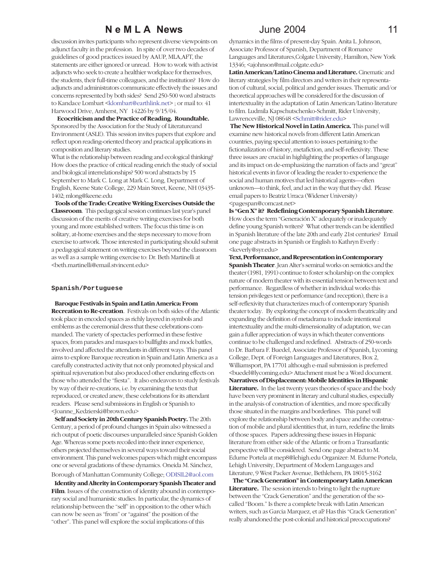discussion invites participants who represent diverse viewpoints on adjunct faculty in the profession. In spite of over two decades of guidelines of good practices issued by AAUP, MLA,AFT, the statements are either ignored or unread. How to work with activist adjuncts who seek to create a healthier workplace for themselves, the students, their full-time colleagues, and the institution? How do adjuncts and administrators communicate effectively the issues and concerns represented by both sides? Send 250-500 word abstracts to Kandace Lombart <klombart@earthlink.net> ; or mail to: 41 Harwood Drive, Amherst, NY 14226 by 9/15/04.

 **Ecocriticism and the Practice of Reading. Roundtable.** Sponsored by the Association for the Study of Literatureand Environment (ASLE). This session invites papers that explore and reflect upon reading-oriented theory and practical applications in composition and literary studies.

What is the relationship between reading and ecological thinking? How does the practice of critical reading enrich the study of social and biological interrelationships? 500 word abstracts by 15 September to Mark C. Long at Mark C. Long, Department of English, Keene State College, 229 Main Street, Keene, NH 03435- 1402; mlong@keene.edu

 **Tools of the Trade: Creative Writing Exercises Outside the Classroom**. This pedagogical session continues last year's panel discussion of the merits of creative writing exercises for both young and more established writers. The focus this time is on solitary, at-home exercises and the steps necessary to move from exercise to artwork. Those interested in participating should submit a pedagogical statement on writing exercises beyond the classroom as well as a sample writing exercise to: Dr. Beth Martinelli at <beth.martinelli@email.stvincent.edu>

#### **Spanish/Portuguese**

 **Baroque Festivals in Spain and Latin America: From Recreation to Re-creation**. Festivals on both sides of the Atlantic took place in encoded spaces as richly layered in symbols and emblems as the ceremonial dress that these celebrations commanded. The variety of spectacles performed in these festive spaces, from parades and masques to bullfights and mock battles, involved and affected the attendants in different ways. This panel aims to explore Baroque recreation in Spain and Latin America as a carefully constructed activity that not only promoted physical and spiritual rejuvenation but also produced other enduring effects on those who attended the "fiesta". It also endeavors to study festivals by way of their re-creations, i.e. by examining the texts that reproduced, or created anew, these celebrations for its attendant readers. Please send submissions in English or Spanish to <Joanne\_Kedzierski@brown.edu>

 **Self and Society in 20th Century Spanish Poetry.** The 20th Century, a period of profound changes in Spain also witnessed a rich output of poetic discourses unparalleled since Spanish Golden Age. Whereas some poets recoiled into their inner experience, others projected themselves in several ways toward their social environment. This panel welcomes papers which might encompass one or several gradations of these dynamics. Oneida M. Sánchez, Borough of Manhattan Community College; ODISIL2@aol.com

 **Identity and Alterity in Contemporary Spanish Theater and** Film. Issues of the construction of identity abound in contemporary social and humanistic studies. In particular, the dynamics of relationship between the "self" in opposition to the other which can now be seen as "from" or "against" the position of the "other". This panel will explore the social implications of this

dynamics in the films of present-day Spain. Anita L. Johnson, Associate Professor of Spanish, Department of Romance Languages and Literatures,Colgate University, Hamilton, New York 13346; <ajohnson@mail.colgate.edu>

**Latin American/Latino Cinema and Literature.** Cinematic and literary strategies by film directors and writers in their representation of cultural, social, political and gender issues. Thematic and/or theoretical approaches will be considered for the discussion of intertextuality in the adaptation of Latin American/Latino literature to film. Ludmila Kapschutschenko-Schmitt, Rider University, Lawrenceville, NJ 08648 <Schmitt@rider.edu>

 **The New Historical Novel in Latin America.** This panel will examine new historical novels from different Latin American countries, paying special attention to issues pertaining to the fictionalization of history, metafiction, and self-reflexivity. These three issues are crucial in highlighting the properties of language and its impact on de-emphasizing the narration of facts and "great" historical events in favor of leading the reader to experience the social and human motives that led historical agents—often unknown—to think, feel, and act in the way that they did. Please email papers to Beatriz Urraca (Widener University) <pagespan@comcast.net>

**Is "Gen X" it? Redefining Contemporary Spanish Literature**. How does the term "Generación X" adequately or inadequately define young Spanish writers? What other trends can be identified in Spanish literature of the late 20th and early 21st centuries? Email one page abstracts in Spanish or English to Kathryn Everly : <keverly@syr.edu>

**Text, Performance, and Representation in Contemporary Spanish Theater**. Jean Alter's seminal works on semiotics and the theater (1981, 1991) continue to foster scholarship on the complex nature of modern theater with its essential tension between text and performance. Regardless of whether in individual works this tension privileges text or performance (and reception), there is a self-reflexivity that characterizes much of contemporary Spanish theater today. By exploring the concept of modern theatricality and expanding the definition of metadrama to include intentional intertextuality and the multi-dimensionality of adaptation, we can gain a fuller appreciation of ways in which theater conventions continue to be challenged and redefined. Abstracts of 250-words to Dr. Barbara F. Buedel, Associate Professor of Spanish, Lycoming College, Dept. of Foreign Languages and Literatures, Box 2, Williamsport, PA 17701 although e-mail submission is preferred <buedel@lycoming.edu> Attachment must be a Word document. **Narratives of Displacement: Mobile Identities inHispanic Literature.** In the last twenty years theories of space and the body have been very prominent in literary and cultural studies, especially in the analysis of construction of identities, and more specifically those situated in the margins and borderlines. This panel will explore the relationship between body and space and the construction of mobile and plural identities that, in turn, redefine the limits of those spaces. Papers addressing these issues in Hispanic literature from either side of the Atlantic or from a Transatlantic perspective will be considered. Send one page abstract to M. Edurne Portela at mep8@lehigh.edu Organizer: M. Edurne Portela, Lehigh University, Department of Modern Languages and Literature, 9 West Packer Avenue, Bethlehem, PA 18015-3162

 **The "Crack Generation" in Contemporary Latin American Literature.** The session intends to bring to light the rupture between the "Crack Generation" and the generation of the socalled "Boom." Is there a complete break with Latin American writers, such as Garcia Marquez, et al? Has this "Crack Generation" really abandoned the post-colonial and historical preoccupations?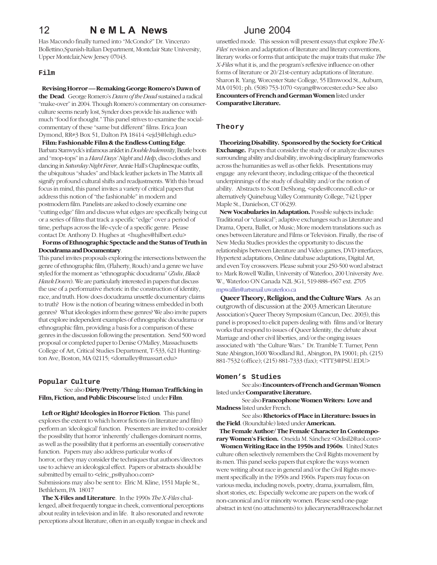Has Macondo finally turned into "McCondo?" Dr. Vincenzo Bollettino,Spanish-Italian Department, Montclair State University, Upper Montclair,New Jersey 07043.

#### **Film**

 **Revising Horror — Remaking George Romero's Dawn of the Dead**. George Romero's *Dawn of the Dead* sustained a radical "make-over" in 2004. Though Romero's commentary on consumerculture seems nearly lost, Synder does provide his audience with much "food for thought." This panel strives to examine the socialcommentary of these "same but different" films. Erica Joan Dymond, RR#3 Box 51, Dalton PA 18414 <ejd3@lehigh.edu>

 **Film: Fashionable Film & the Endless Cutting Edge**. Barbara Stanwyck's infamous anklet in *Double Indemnity*, Beatle boots and "mop-tops" in a *Hard Days' Night* and *Help*, disco clothes and dancing in *Saturday Night Fever*, Annie Hall's Chaplinesque outfits, the ubiquitous "shades" and black leather jackets in The Matrix all signify profound cultural shifts and readjustments. With this broad focus in mind, this panel invites a variety of critical papers that address this notion of "the fashionable" in modern and postmodern film. Panelists are asked to closely examine one "cutting edge" film and discuss what edges are specifically being cut or a series of films that track a specific "edge" over a period of time, perhaps across the life-cycle of a specific genre. Please contact Dr. Anthony D. Hughes at <hughes@hilbert.edu>

### **Forms of Ethnographic Spectacle and the Status of Truth in Docudrama and Documentary**.

This panel invites proposals exploring the intersections between the genre of ethnographic film, (Flaherty, Rouch) and a genre we have styled for the moment as "ethnographic docudrama" (*Zulu*, *Black Hawk Down*). We are particularly interested in papers that discuss the use of a performative rhetoric in the construction of identity, race, and truth. How does docudrama unsettle documentary claims to truth? How is the notion of bearing witness embedded in both genres? What ideologies inform these genres? We also invite papers that explore independent examples of ethnographic docudrama or ethnographic film, providing a basis for a comparison of these genres in the discussion following the presentation. Send 500 word proposal or completed paper to Denise O'Malley, Massachusetts College of Art, Critical Studies Department, T-533, 621 Huntington Ave, Boston, MA 02115; <domalley@massart.edu>

#### **Popular Culture**

#### See also **Dirty/Pretty/Thing: Human Trafficking in Film, Fiction, and Public Discourse** listed under **Film**.

 **Left or Right? Ideologies in Horror Fiction**. This panel explores the extent to which horror fictions (in literature and film) perform an 'ideological' function. Presenters are invited to consider the possibility that horror 'inherently' challenges dominant norms, as well as the possibility that it performs an essentially conservative function. Papers may also address particular works of horror, or they may consider the techniques that authors/directors use to achieve an ideological effect. Papers or abstracts should be submitted by email to <elric\_ps@yahoo.com>

Submissions may also be sent to: Elric M. Kline, 1551 Maple St., Bethlehem, PA 18017

 **The X-Files and Literature**. In the 1990s *The X-Files* challenged, albeit frequently tongue in cheek, conventional perceptions about reality in television and in life. It also resonated and rewrote perceptions about literature, often in an equally tongue in cheek and

unsettled mode. This session will present essays that explore *The X-Files*' revision and adaptation of literature and literary conventions, literary works or forms that anticipate the major traits that make *The X-Files* what it is, and the program's reflexive influence on other forms of literature or 20/21st-century adaptations of literature. Sharon R. Yang, Worcester State College, 55 Elmwood St., Auburn, MA 01501; ph. (508) 753-1070 <syang@worcester.edu> See also **Encounters of French and German Women** listed under **Comparative Literature.**

#### **Theory**

 **Theorizing Disability. Sponsored by the Society for Critical Exchange.** Papers that consider the study of or analyze discourses surrounding ability and disability, involving disciplinary frameworks across the humanities as well as other fields. Presentations may engage any relevant theory, including critique of the theoretical underpinnings of the study of disability and/or the notion of ability. Abstracts to Scott DeShong, <spdes@conncoll.edu> or alternatively Quinebaug Valley Community College, 742 Upper Maple St., Danielson, CT 06239.

 **New Vocabularies in Adaptation.** Possible subjects include: Traditional or "classical"; adaptive exchanges such as Literature and Drama, Opera, Ballet, or Music; More modern translations such as ones between Literature and Films or Television. Finally, the rise of New Media Studies provides the opportunity to discuss the relationships between Literature and Video games, DVD interfaces, Hypertext adaptations, Online database adaptations, Digital Art, and even Toy crossovers. Please submit your 250-500 word abstract to: Mark Rowell Wallin, University of Waterloo, 200 University Ave. W., Waterloo ON Canada N2L 3G1, 519-888-4567 ext. 2705 mpwallin@artsmail.uwaterloo.ca

 **Queer Theory, Religion, and the Culture Wars**. As an outgrowth of discussion at the 2003 American Literature Association's Queer Theory Symposium (Cancun, Dec. 2003), this panel is proposed to elicit papers dealing with films and/or literary works that respond to issues of Queer Identity, the debate about Marriage and other civil liberties, and/or the onging issues associated with "the Culture Wars." Dr. Tramble T. Turner, Penn State Abington,1600 Woodland Rd., Abington, PA 19001; ph. (215) 881-7532 (office); (215) 881-7333 (fax); <TTT3@PSU.EDU>

### **Women's Studies**

See also **Encounters of French and German Women** listed under **Comparative Literature.**

See also **Francophone Women Writers: Love and Madness** listed under French.

See also **Rhetorics of Place in Literature: Issues in the Field**. (Roundtable) listed under **American.**

 **The Female Author/ The Female Character In Contempo**rary Women's Fiction. Oneida M. Sánchez < Odisil2@aol.com>  **Women Writing Race in the 1950s and 1960s**. United States culture often selectively remembers the Civil Rights movement by its men. This panel seeks papers that explore the ways women were writing about race in general and/or the Civil Rights movement specifically in the 1950s and 1960s. Papers may focus on various media, including novels, poetry, drama, journalism, film, short stories, etc. Especially welcome are papers on the work of non-canonical and/or minority women. Please send one-page abstract in text (no attachments) to: juliecarynerad@racescholar.net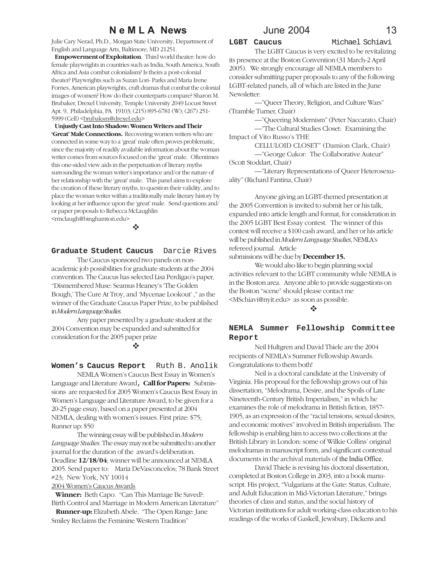Julie Cary Nerad, Ph.D., Morgan State University, Department of English and Language Arts, Baltimore, MD 21251.

 **Empowerment of Exploitation**. Third world theater: how do female playwrights in countries such as India, South America, South Africa and Asia combat colonialism? Is theirs a post-colonial theater? Playwrights such as Suzan Lori- Parks and Maria Irene Fornes, American playwrights, craft dramas that combat the colonial images of women? How do their counterparts compare? Sharon M. Brubaker, Drexel University, Temple University 2049 Locust Street Apt. 9, Philadelphia, PA 19103; (215) 895-6781 (W); (267) 251- 5999 (Cell) <br />  $brubaksm@drexel.edu$ 

 **Unjustly Cast Into Shadow: Women Writers and Their 'Great' Male Connections.** Recovering women writers who are connected in some way to a 'great' male often proves problematic, since the majority of readily available information about the woman writer comes from sources focused on the 'great' male. Oftentimes this one-sided view aids in the perpetuation of literary myths surrounding the woman writer's importance and/or the nature of her relationship with the 'great' male. This panel aims to explore the creation of these literary myths, to question their validity, and to place the woman writer within a traditionally male literary history by looking at her influence upon the 'great' male. Send questions and/ or paper proposals to Rebecca McLaughlin <rmclaugh@binghamton.edu>

!

**Graduate Student Caucus** Darcie Rives

The Caucus sponsored two panels on nonacademic job possibilities for graduate students at the 2004 convention. The Caucus has selected Lisa Perdigao's paper, "Dismembered Muse: Seamus Heaney's 'The Golden Bough,' The Cure At Troy, and 'Mycenae Lookout' ," as the winner of the Graduate Caucus Paper Prize, to be published in *Modern Language Studies*.

Any paper presented by a graduate student at the 2004 Convention may be expanded and submitted for consideration for the 2005 paper prize

!

Women's Caucus Report Ruth B. Anolik

NEMLA Women's Caucus Best Essay in Women's Language and Literature Award, **Call for Papers:** Submissions are requested for 2005 Women's Caucus Best Essay in Women's Language and Literature Award, to be given for a 20-25 page essay, based on a paper presented at 2004 NEMLA, dealing with women's issues. First prize: \$75; Runner up: \$50

The winning essay will be published in *Modern Language Studies.* The essay may not be submitted to another journal for the duration of the award's deliberation. Deadline **12/18/04**; winner will be announced at NEMLA 2005. Send paper to: Maria DeVasconcelos; 78 Bank Street #23; New York, NY 10014

2004 Women's Caucus Awards

 **Winner:** Beth Capo. "Can This Marriage Be Saved?: Birth Control and Marriage in Modern American Literature"

 **Runner-up:** Elizabeth Abele. "The Open Range: Jane Smiley Reclaims the Feminine Western Tradition"

**LGBT Caucus** Michael Schiavi

The LGBT Caucus is very excited to be revitalizing its presence at the Boston Convention (31 March-2 April 2005). We strongly encourage all NEMLA members to consider submitting paper proposals to any of the following LGBT-related panels, all of which are listed in the June Newsletter:

—"Queer Theory, Religion, and Culture Wars" (Tramble Turner, Chair)

> —"Queering Modernism" (Peter Naccarato, Chair) —"The Cultural Studies Closet: Examining the

Impact of Vito Russo's THE

CELLULOID CLOSET" (Damion Clark, Chair) —"George Cukor: The Collaborative Auteur" (Scott Stoddart, Chair)

—"Literary Representations of Queer Heterosexuality" (Richard Fantina, Chair)

Anyone giving an LGBT-themed presentation at the 2005 Convention is invited to submit her or his talk, expanded into article length and format, for consideration in the 2005 LGBT Best Essay contest. The winner of this contest will receive a \$100 cash award, and her or his article will be published in *Modern Language Studies*, NEMLA's refereed journal. Article

submissions will be due by **December 15.**

We would also like to begin planning social activities relevant to the LGBT community while NEMLA is in the Boston area. Anyone able to provide suggestions on the Boston "scene" should please contact me <MSchiavi@nyit.edu> as soon as possible.

#### $\bullet^*$

### **NEMLA Summer Fellowship Committee Report**

Neil Hultgren and David Thiele are the 2004 recipients of NEMLA's Summer Fellowship Awards. Congratulations to them both!

Neil is a doctoral candidate at the University of Virginia. His proposal for the fellowship grows out of his dissertation, "Melodrama, Desire, and the Spoils of Late Nineteenth-Century British Imperialism," in which he examines the role of melodrama in British fiction, 1857- 1905, as an expression of the "racial tensions, sexual desires, and economic motives" involved in British imperialism. The fellowship is enabling him to access two collections at the British Library in London: some of Wilkie Collins' original melodramas in manuscript form, and significant contextual documents in the archival materials of the India Office.

David Thiele is revising his doctoral dissertation, completed at Boston College in 2003, into a book manuscript. His project, "Vulgarians at the Gate: Status, Culture, and Adult Education in Mid-Victorian Literature," brings theories of class and status, and the social history of Victorian institutions for adult working-class education to his readings of the works of Gaskell, Jewsbury, Dickens and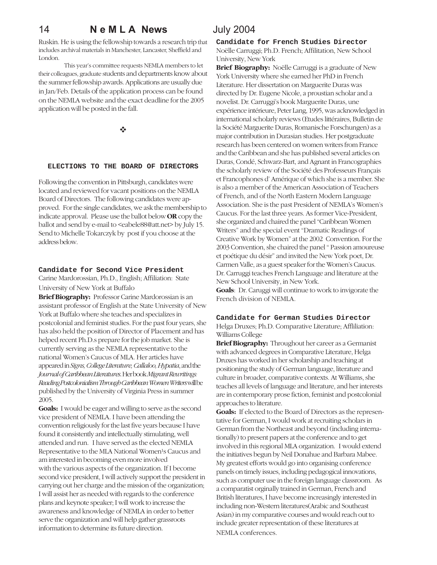## 14 **N e M L A News** July 2004

Ruskin. He is using the fellowship towards a research trip that includes archival materials in Manchester, Lancaster, Sheffield and London.

This year's committee requests NEMLA members to let their colleagues, graduate students and departments know about the summer fellowship awards. Applications are usually due in Jan/Feb. Details of the application process can be found on the NEMLA website and the exact deadline for the 2005 application will be posted in the fall.

!

#### **ELECTIONS TO THE BOARD OF DIRECTORS**

Following the convention in Pittsburgh, candidates were located and reviewed for vacant positions on the NEMLA Board of Directors. The following candidates were approved. For the single candidates, we ask the membership to indicate approval. Please use the ballot below **OR** copy the ballot and send by e-mail to <eabele88@att.net> by July 15. Send to Michelle Tokarczyk by post if you choose at the address below.

#### **Candidate for Second Vice President**

Carine Mardorossian, Ph.D., English; Affiliation: State University of New York at Buffalo

**Brief Biography:** Professor Carine Mardorossian is an assistant professor of English at the State University of New York at Buffalo where she teaches and specializes in postcolonial and feminist studies. For the past four years, she has also held the position of Director of Placement and has helped recent Ph.D.s prepare for the job market. She is currently serving as the NEMLA representative to the national Women's Caucus of MLA. Her articles have appeared in *Signs, College Literature, Callaloo, Hypatia*, and the *Journal of Caribbean Literatures*. Her book *Migrant Rewritings: Reading Postcolonialism Through Caribbean Women Writers* will be published by the University of Virginia Press in summer 2005.

**Goals:** I would be eager and willing to serve as the second vice president of NEMLA. I have been attending the convention religiously for the last five years because I have found it consistently and intellectually stimulating, well attended and run. I have served as the elected NEMLA Representative to the MLA National Women<sup>1</sup>s Caucus and am interested in becoming even more involved with the various aspects of the organization. If I become second vice president, I will actively support the president in carrying out her charge and the mission of the organization; I will assist her as needed with regards to the conference plans and keynote speaker; I will work to increase the awareness and knowledge of NEMLA in order to better serve the organization and will help gather grassroots information to determine its future direction.

**Candidate for French Studies Director** Noëlle Carruggi; Ph.D. French; Affilitation, New School University, New York

**Brief Biography:** Noëlle Carruggi is a graduate of New York University where she earned her PhD in French Literature. Her dissertation on Marguerite Duras was directed by Dr. Eugene Nicole, a proustian scholar and a novelist. Dr. Carruggi's book Marguerite Duras, une expérience intérieure, Peter Lang, 1995, was acknowledged in international scholarly reviews (Etudes littéraires, Bulletin de la Société Marguerite Duras, Romanische Forschungen) as a major contribution in Durasian studies. Her postgraduate research has been centered on women writers from France and the Caribbean and she has published several articles on Duras, Condé, Schwarz-Bart, and Agnant in Francographies the scholarly review of the Société des Professeurs Français et Francophones d' Amérique of which she is a member. She is also a member of the American Association of Teachers of French, and of the North Eastern Modern Language Association. She is the past President of NEMLA's Women's Caucus. For the last three years. As former Vice-President, she organized and chaired the panel "Caribbean Women Writers" and the special event "Dramatic Readings of Creative Work by Women" at the 2002 Convention. For the 2003 Convention, she chaired the panel " Passion amoureuse et poétique du désir" and invited the New York poet, Dr. Carmen Valle, as a guest speaker for the Women's Caucus. Dr. Carruggi teaches French Language and literature at the New School University, in New York. **Goals**: Dr. Caruggi will continue to work to invigorate the French division of NEMLA.

#### **Candidate for German Studies Director**

Helga Druxes; Ph.D. Comparative Literature; Affliliation: Williams College

**Brief Biography:** Throughout her career as a Germanist with advanced degrees in Comparative Literature, Helga Druxes has worked in her scholarship and teaching at positioning the study of German language, literature and culture in broader, comparative contexts. At Williams, she teaches all levels of language and literature, and her interests are in contemporary prose fiction, feminist and postcolonial approaches to literature.

**Goals:** If elected to the Board of Directors as the representative for German, I would work at recruiting scholars in German from the Northeast and beyond (including internationally) to present papers at the conference and to get involved in this regional MLA organization. I would extend the initiatives begun by Neil Donahue and Barbara Mabee. My greatest efforts would go into organising conference panels on timely issues, including pedagogical innovations, such as computer use in the foreign language classroom. As a comparatist orginally trained in German, French and British literatures, I have become increasingly interested in including non-Western literatures(Arabic and Southeast Asian) in my comparative courses and would reach out to include greater representation of these literatures at NEMLA conferences.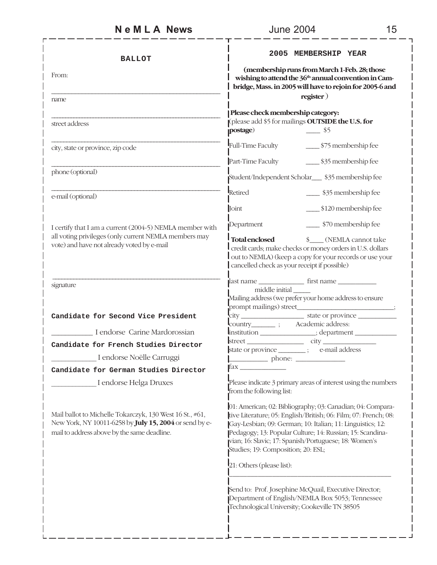| <b>BALLOT</b>                                                                                                                                                     | 2005 MEMBERSHIP YEAR                                                                                                                                                                                                                                                                                                                                                                 |  |
|-------------------------------------------------------------------------------------------------------------------------------------------------------------------|--------------------------------------------------------------------------------------------------------------------------------------------------------------------------------------------------------------------------------------------------------------------------------------------------------------------------------------------------------------------------------------|--|
| From:                                                                                                                                                             | (membership runs from March 1-Feb. 28; those<br>wishing to attend the 36 <sup>th</sup> annual convention in Cam-<br>bridge, Mass. in 2005 will have to rejoin for 2005-6 and<br>register)                                                                                                                                                                                            |  |
| name                                                                                                                                                              |                                                                                                                                                                                                                                                                                                                                                                                      |  |
| street address                                                                                                                                                    | Please check membership category:<br>(please add \$5 for mailings OUTSIDE the U.S. for<br>postage)<br>$\frac{\ }{2}$ \$5                                                                                                                                                                                                                                                             |  |
| city, state or province, zip code                                                                                                                                 | Full-Time Faculty<br>______ \$75 membership fee                                                                                                                                                                                                                                                                                                                                      |  |
|                                                                                                                                                                   | Part-Time Faculty<br>\$35 membership fee                                                                                                                                                                                                                                                                                                                                             |  |
| phone (optional)                                                                                                                                                  | Student/Independent Scholar____ \$35 membership fee                                                                                                                                                                                                                                                                                                                                  |  |
| e-mail (optional)                                                                                                                                                 | Retired<br>\$35 membership fee                                                                                                                                                                                                                                                                                                                                                       |  |
|                                                                                                                                                                   | Joint<br>\$120 membership fee                                                                                                                                                                                                                                                                                                                                                        |  |
| I certify that I am a current (2004-5) NEMLA member with                                                                                                          | _____ \$70 membership fee<br>Department                                                                                                                                                                                                                                                                                                                                              |  |
| all voting privileges (only current NEMLA members may<br>vote) and have not already voted by e-mail                                                               | <b>Total enclosed</b><br>\$ (NEMLA cannot take<br>credit cards; make checks or money orders in U.S. dollars<br>out to NEMLA) (keep a copy for your records or use your<br>cancelled check as your receipt if possible)                                                                                                                                                               |  |
| signature                                                                                                                                                         | middle initial<br>Mailing address (we prefer your home address to ensure                                                                                                                                                                                                                                                                                                             |  |
| Candidate for Second Vice President                                                                                                                               |                                                                                                                                                                                                                                                                                                                                                                                      |  |
| I endorse Carine Mardorossian                                                                                                                                     | country__________; Academic address:                                                                                                                                                                                                                                                                                                                                                 |  |
| Candidate for French Studies Director                                                                                                                             |                                                                                                                                                                                                                                                                                                                                                                                      |  |
| _ I endorse Noëlle Carruggi                                                                                                                                       | state or province _________; e-mail address                                                                                                                                                                                                                                                                                                                                          |  |
| Candidate for German Studies Director                                                                                                                             | $\Box$ phone: $\Box$<br>fax ___________                                                                                                                                                                                                                                                                                                                                              |  |
| I endorse Helga Druxes                                                                                                                                            | Please indicate 3 primary areas of interest using the numbers<br>from the following list:                                                                                                                                                                                                                                                                                            |  |
| Mail ballot to Michelle Tokarczyk, 130 West 16 St., #61,<br>New York, NY 10011-6258 by July 15, 2004 or send by e-<br>mail to address above by the same deadline. | 01: American; 02: Bibliography; 03: Canadian; 04: Compara-<br>tive Literature; 05: English/British; 06: Film; 07: French; 08:<br>Gay-Lesbian; 09: German; 10: Italian; 11: Linguistics; 12:<br>Pedagogy; 13: Popular Culture; 14: Russian; 15: Scandina-<br>vian; 16: Slavic; 17: Spanish/Portuguese; 18: Women's<br>Studies; 19: Composition; 20: ESL;<br>21: Others (please list): |  |
|                                                                                                                                                                   | Send to: Prof. Josephine McQuail, Executive Director;<br>Department of English/NEMLA Box 5053; Tennessee<br>Technological University; Cookeville TN 38505                                                                                                                                                                                                                            |  |

 $\overline{1}$